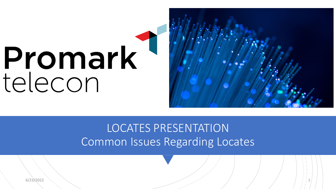# Promark<br>telecon



LOCATES PRESENTATION Common Issues Regarding Locates

 $6/23/2022$  is a constant of the constant of the constant of the constant of the constant of the constant of the constant of the constant of the constant of the constant of the constant of the constant of the constant of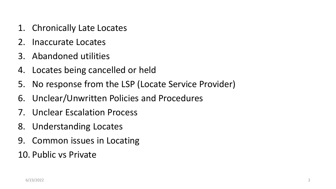- 1. Chronically Late Locates
- 2. Inaccurate Locates
- 3. Abandoned utilities
- 4. Locates being cancelled or held
- 5. No response from the LSP (Locate Service Provider)
- 6. Unclear/Unwritten Policies and Procedures
- 7. Unclear Escalation Process
- 8. Understanding Locates
- 9. Common issues in Locating
- 10. Public vs Private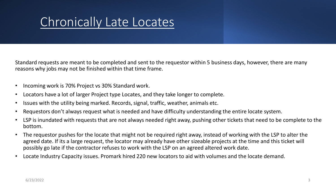#### Chronically Late Locates

Standard requests are meant to be completed and sent to the requestor within 5 business days, however, there are many reasons why jobs may not be finished within that time frame.

- Incoming work is 70% Project vs 30% Standard work.
- Locators have a lot of larger Project type Locates, and they take longer to complete.
- Issues with the utility being marked. Records, signal, traffic, weather, animals etc.
- Requestors don't always request what is needed and have difficulty understanding the entire locate system.
- LSP is inundated with requests that are not always needed right away, pushing other tickets that need to be complete to the bottom.
- The requestor pushes for the locate that might not be required right away, instead of working with the LSP to alter the agreed date. If its a large request, the locator may already have other sizeable projects at the time and this ticket will possibly go late if the contractor refuses to work with the LSP on an agreed altered work date.
- Locate Industry Capacity issues. Promark hired 220 new locators to aid with volumes and the locate demand.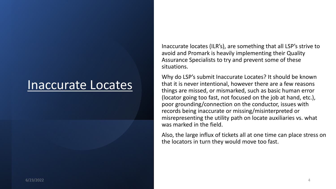#### Inaccurate Locates

Inaccurate locates (ILR's), are something that all LSP's strive to avoid and Promark is heavily implementing their Quality Assurance Specialists to try and prevent some of these situations.

Why do LSP's submit Inaccurate Locates? It should be known that it is never intentional, however there are a few reasons things are missed, or mismarked, such as basic human error (locator going too fast, not focused on the job at hand, etc.), poor grounding/connection on the conductor, issues with records being inaccurate or missing/misinterpreted or misrepresenting the utility path on locate auxiliaries vs. what was marked in the field.

Also, the large influx of tickets all at one time can place stress on the locators in turn they would move too fast.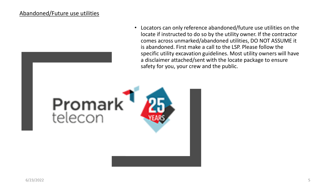#### Abandoned/Future use utilities

• Locators can only reference abandoned/future use utilities on the locate if instructed to do so by the utility owner. If the contractor comes across unmarked/abandoned utilities, DO NOT ASSUME it is abandoned. First make a call to the LSP. Please follow the specific utility excavation guidelines. Most utility owners will have a disclaimer attached/sent with the locate package to ensure safety for you, your crew and the public.

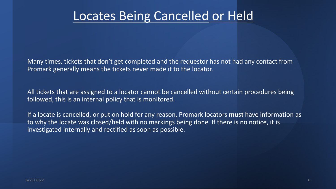#### Locates Being Cancelled or Held

Many times, tickets that don't get completed and the requestor has not had any contact from Promark generally means the tickets never made it to the locator.

All tickets that are assigned to a locator cannot be cancelled without certain procedures being followed, this is an internal policy that is monitored.

If a locate is cancelled, or put on hold for any reason, Promark locators **must** have information as to why the locate was closed/held with no markings being done. If there is no notice, it is investigated internally and rectified as soon as possible.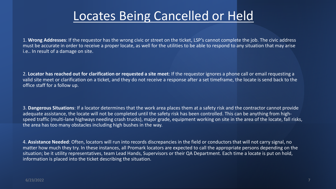#### Locates Being Cancelled or Held

1. **Wrong Addresses**: If the requestor has the wrong civic or street on the ticket, LSP's cannot complete the job. The civic address must be accurate in order to receive a proper locate, as well for the utilities to be able to respond to any situation that may arise i.e.. In result of a damage on site.

2. **Locator has reached out for clarification or requested a site meet**: If the requestor ignores a phone call or email requesting a valid site meet or clarification on a ticket, and they do not receive a response after a set timeframe, the locate is send back to the office staff for a follow up.

3. **Dangerous Situations**: If a locator determines that the work area places them at a safety risk and the contractor cannot provide adequate assistance, the locate will not be completed until the safety risk has been controlled. This can be anything from highspeed traffic (multi-lane highways needing crash trucks), major grade, equipment working on site in the area of the locate, fall risks, the area has too many obstacles including high bushes in the way.

4. **Assistance Needed**: Often, locators will run into records discrepancies in the field or conductors that will not carry signal, no matter how much they try. In these instances, all Promark locators are expected to call the appropriate persons depending on the situation; be it utility representatives, team Lead Hands, Supervisors or their QA Department. Each time a locate is put on hold, information is placed into the ticket describing the situation.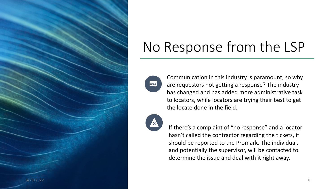

## No Response from the LSP

Communication in this industry is paramount, so why are requestors not getting a response? The industry has changed and has added more administrative task to locators, while locators are trying their best to get the locate done in the field.



Eşl

If there's a complaint of "no response" and a locator hasn't called the contractor regarding the tickets, it should be reported to the Promark. The individual, and potentially the supervisor, will be contacted to determine the issue and deal with it right away.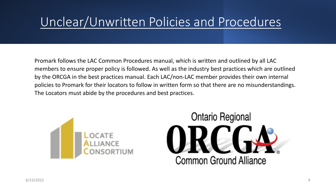#### Unclear/Unwritten Policies and Procedures

Promark follows the LAC Common Procedures manual, which is written and outlined by all LAC members to ensure proper policy is followed. As well as the industry best practices which are outlined by the ORCGA in the best practices manual. Each LAC/non-LAC member provides their own internal policies to Promark for their locators to follow in written form so that there are no misunderstandings. The Locators must abide by the procedures and best practices.



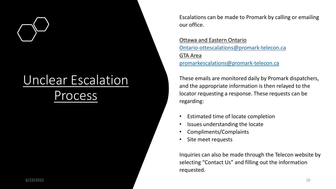### Unclear Escalation rocess

Escalations can be made to Promark by calling or emailing our office.

Ottawa and Eastern Ontario [Ontario-ottescalations@promark-telecon.ca](mailto:Ontario-ottescalations@promark-telecon.ca) GTA Area [promarkescalations@promark-telecon.ca](mailto:promarkescalations@promark-telecon.ca)

These emails are monitored daily by Promark dispatchers, and the appropriate information is then relayed to the locator requesting a response. These requests can be regarding:

- Estimated time of locate completion
- Issues understanding the locate
- Compliments/Complaints
- Site meet requests

Inquiries can also be made through the Telecon website by selecting "Contact Us" and filling out the information requested.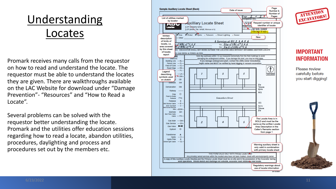#### Understanding Locates

Promark receives many calls from the requestor on how to read and understand the locate. The requestor must be able to understand the locates they are given. There are walkthroughs available on the LAC Website for download under "Damage Prevention" - "Resources" and "How to Read a Locate".

Several problems can be solved with the requestor better understanding the locate. Promark and the utilities offer education sessions regarding how to read a locate, abandon utilities, procedures, daylighting and process and procedures set out by the members etc.

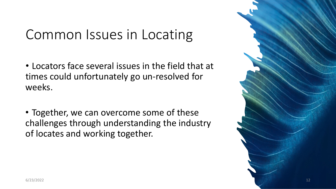#### Common Issues in Locating

- Locators face several issues in the field that at times could unfortunately go un-resolved for weeks.
- Together, we can overcome some of these challenges through understanding the industry of locates and working together.

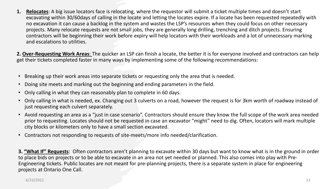**1. Relocates**: A big issue locators face is relocating, where the requestor will submit a ticket multiple times and doesn't start excavating within 30/60days of calling in the locate and letting the locates expire. If a locate has been requested repeatedly with no excavation it can cause a backlog in the system and wastes the LSP's resources when they could focus on other necessary projects. Many relocate requests are not small jobs, they are generally long drilling, trenching and ditch projects. Ensuring contractors will be beginning their work before expiry will help locators with their workloads and a lot of unnecessary marking and escalations to utilities.

**2. Over-Requesting Work Areas**: The quicker an LSP can finish a locate, the better it is for everyone involved and contractors can help get their tickets completed faster in many ways by implementing some of the following recommendations:

- Breaking up their work areas into separate tickets or requesting only the area that is needed.
- Doing site meets and marking out the beginning and ending parameters in the field.
- Only calling in what they can reasonably plan to complete in 60 days.
- Only calling in what is needed, ex. Changing out 3 culverts on a road, however the request is for 3km worth of roadway instead of just requesting each culvert separately.
- Avoid requesting an area as a "just in case scenario". Contractors should ensure they know the full scope of the work area needed prior to requesting. Locates should not be requested in case an excavator "might" need to dig. Often, locators will mark multiple city blocks or kilometers only to have a small section excavated.
- Contractors not responding to requests of site-meets/more info needed/clarification.

**3. "What If" Requests**: Often contractors aren't planning to excavate within 30 days but want to know what is in the ground in order to place bids on projects or to be able to excavate in an area not yet needed or planned. This also comes into play with Pre-Engineering tickets. Public locates are not meant for pre-planning projects, there is a separate system in place for engineering projects at Ontario One Call.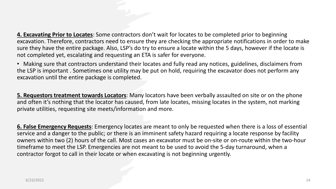**4. Excavating Prior to Locates**: Some contractors don't wait for locates to be completed prior to beginning excavation. Therefore, contractors need to ensure they are checking the appropriate notifications in order to make sure they have the entire package. Also, LSP's do try to ensure a locate within the 5 days, however if the locate is not completed yet, escalating and requesting an ETA is safer for everyone.

• Making sure that contractors understand their locates and fully read any notices, guidelines, disclaimers from the LSP is important . Sometimes one utility may be put on hold, requiring the excavator does not perform any excavation until the entire package is completed.

**5. Requestors treatment towards Locators**: Many locators have been verbally assaulted on site or on the phone and often it's nothing that the locator has caused, from late locates, missing locates in the system, not marking private utilities, requesting site meets/information and more.

**6. False Emergency Requests**: Emergency locates are meant to only be requested when there is a loss of essential service and a danger to the public; or there is an imminent safety hazard requiring a locate response by facility owners within two (2) hours of the call. Most cases an excavator must be on-site or on-route within the two-hour timeframe to meet the LSP. Emergencies are not meant to be used to avoid the 5-day turnaround, when a contractor forgot to call in their locate or when excavating is not beginning urgently.